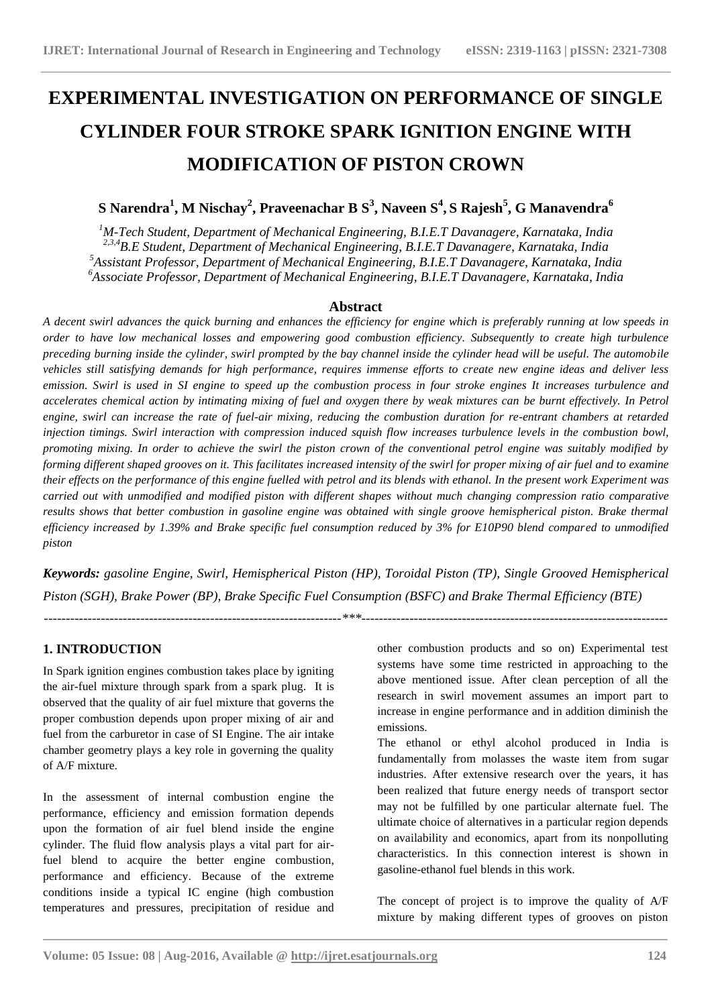# **EXPERIMENTAL INVESTIGATION ON PERFORMANCE OF SINGLE CYLINDER FOUR STROKE SPARK IGNITION ENGINE WITH MODIFICATION OF PISTON CROWN**

 ${\bf S}$  Narendra $^1$ , M Nischay $^2$ , Praveenachar B  ${\bf S}^3$ , Naveen  ${\bf S}^4$ , ${\bf S}$  Rajesh $^5$ , G Manavendra $^6$ 

*M-Tech Student, Department of Mechanical Engineering, B.I.E.T Davanagere, Karnataka, India 2,3,4B.E Student, Department of Mechanical Engineering, B.I.E.T Davanagere, Karnataka, India Assistant Professor, Department of Mechanical Engineering, B.I.E.T Davanagere, Karnataka, India Associate Professor, Department of Mechanical Engineering, B.I.E.T Davanagere, Karnataka, India*

## **Abstract**

*A decent swirl advances the quick burning and enhances the efficiency for engine which is preferably running at low speeds in order to have low mechanical losses and empowering good combustion efficiency. Subsequently to create high turbulence preceding burning inside the cylinder, swirl prompted by the bay channel inside the cylinder head will be useful. The automobile vehicles still satisfying demands for high performance, requires immense efforts to create new engine ideas and deliver less emission. Swirl is used in SI engine to speed up the combustion process in four stroke engines It increases turbulence and accelerates chemical action by intimating mixing of fuel and oxygen there by weak mixtures can be burnt effectively. In Petrol engine, swirl can increase the rate of fuel-air mixing, reducing the combustion duration for re-entrant chambers at retarded injection timings. Swirl interaction with compression induced squish flow increases turbulence levels in the combustion bowl, promoting mixing. In order to achieve the swirl the piston crown of the conventional petrol engine was suitably modified by forming different shaped grooves on it. This facilitates increased intensity of the swirl for proper mixing of air fuel and to examine their effects on the performance of this engine fuelled with petrol and its blends with ethanol. In the present work Experiment was carried out with unmodified and modified piston with different shapes without much changing compression ratio comparative results shows that better combustion in gasoline engine was obtained with single groove hemispherical piston. Brake thermal efficiency increased by 1.39% and Brake specific fuel consumption reduced by 3% for E10P90 blend compared to unmodified piston*

*Keywords: gasoline Engine, Swirl, Hemispherical Piston (HP), Toroidal Piston (TP), Single Grooved Hemispherical Piston (SGH), Brake Power (BP), Brake Specific Fuel Consumption (BSFC) and Brake Thermal Efficiency (BTE)*

**\_\_\_\_\_\_\_\_\_\_\_\_\_\_\_\_\_\_\_\_\_\_\_\_\_\_\_\_\_\_\_\_\_\_\_\_\_\_\_\_\_\_\_\_\_\_\_\_\_\_\_\_\_\_\_\_\_\_\_\_\_\_\_\_\_\_\_\_\_\_\_\_\_\_\_\_\_\_\_\_\_\_\_\_\_\_\_\_\_\_\_\_\_\_\_**

#### *--------------------------------------------------------------------\*\*\*----------------------------------------------------------------------*

# **1. INTRODUCTION**

In Spark ignition engines combustion takes place by igniting the air-fuel mixture through spark from a spark plug. It is observed that the quality of air fuel mixture that governs the proper combustion depends upon proper mixing of air and fuel from the carburetor in case of SI Engine. The air intake chamber geometry plays a key role in governing the quality of A/F mixture.

In the assessment of internal combustion engine the performance, efficiency and emission formation depends upon the formation of air fuel blend inside the engine cylinder. The fluid flow analysis plays a vital part for airfuel blend to acquire the better engine combustion, performance and efficiency. Because of the extreme conditions inside a typical IC engine (high combustion temperatures and pressures, precipitation of residue and other combustion products and so on) Experimental test systems have some time restricted in approaching to the above mentioned issue. After clean perception of all the research in swirl movement assumes an import part to increase in engine performance and in addition diminish the emissions.

The ethanol or ethyl alcohol produced in India is fundamentally from molasses the waste item from sugar industries. After extensive research over the years, it has been realized that future energy needs of transport sector may not be fulfilled by one particular alternate fuel. The ultimate choice of alternatives in a particular region depends on availability and economics, apart from its nonpolluting characteristics. In this connection interest is shown in gasoline-ethanol fuel blends in this work.

The concept of project is to improve the quality of A/F mixture by making different types of grooves on piston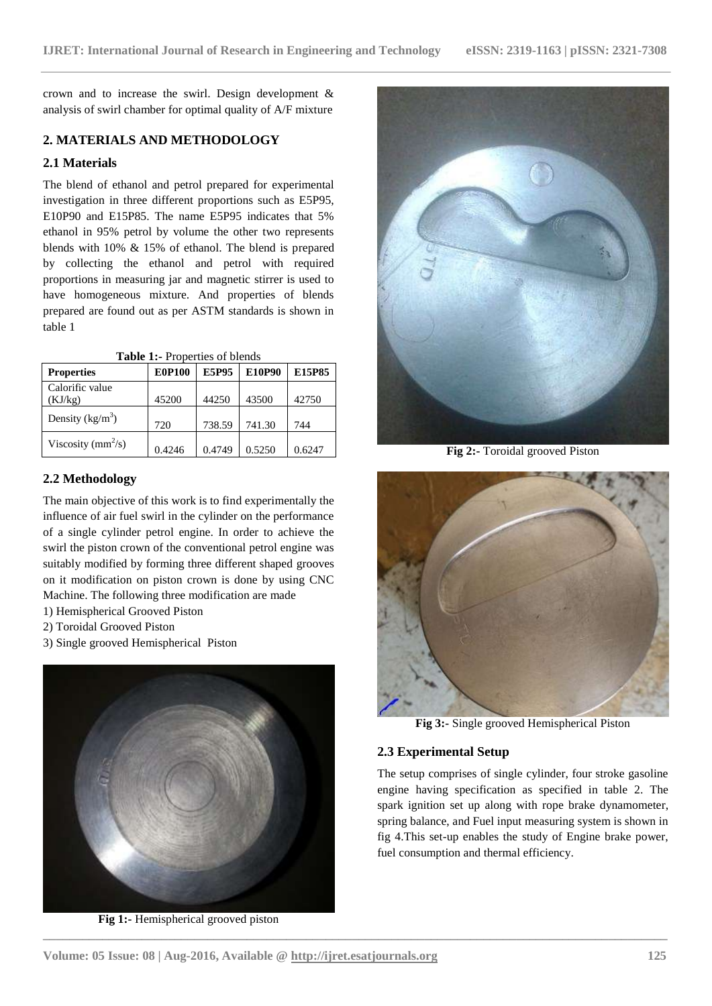crown and to increase the swirl. Design development & analysis of swirl chamber for optimal quality of A/F mixture

# **2. MATERIALS AND METHODOLOGY**

## **2.1 Materials**

The blend of ethanol and petrol prepared for experimental investigation in three different proportions such as E5P95, E10P90 and E15P85. The name E5P95 indicates that 5% ethanol in 95% petrol by volume the other two represents blends with 10% & 15% of ethanol. The blend is prepared by collecting the ethanol and petrol with required proportions in measuring jar and magnetic stirrer is used to have homogeneous mixture. And properties of blends prepared are found out as per ASTM standards is shown in table 1

| <b>Properties</b>      | <b>E0P100</b> | <b>E5P95</b> | E10P90 | E15P85 |
|------------------------|---------------|--------------|--------|--------|
| Calorific value        |               |              |        |        |
| (KJ/kg)                | 45200         | 44250        | 43500  | 42750  |
| Density $(kg/m^3)$     | 720           | 738.59       | 741.30 | 744    |
| Viscosity ( $mm^2/s$ ) | 0.4246        | 0.4749       | 0.5250 | 0.6247 |

**Table 1:-** Properties of blends

## **2.2 Methodology**

The main objective of this work is to find experimentally the influence of air fuel swirl in the cylinder on the performance of a single cylinder petrol engine. In order to achieve the swirl the piston crown of the conventional petrol engine was suitably modified by forming three different shaped grooves on it modification on piston crown is done by using CNC Machine. The following three modification are made

- 1) Hemispherical Grooved Piston
- 2) Toroidal Grooved Piston
- 3) Single grooved Hemispherical Piston



**Fig 1:-** Hemispherical grooved piston



**Fig 2:-** Toroidal grooved Piston



**Fig 3:-** Single grooved Hemispherical Piston

## **2.3 Experimental Setup**

The setup comprises of single cylinder, four stroke gasoline engine having specification as specified in table 2. The spark ignition set up along with rope brake dynamometer, spring balance, and Fuel input measuring system is shown in fig 4.This set-up enables the study of Engine brake power, fuel consumption and thermal efficiency.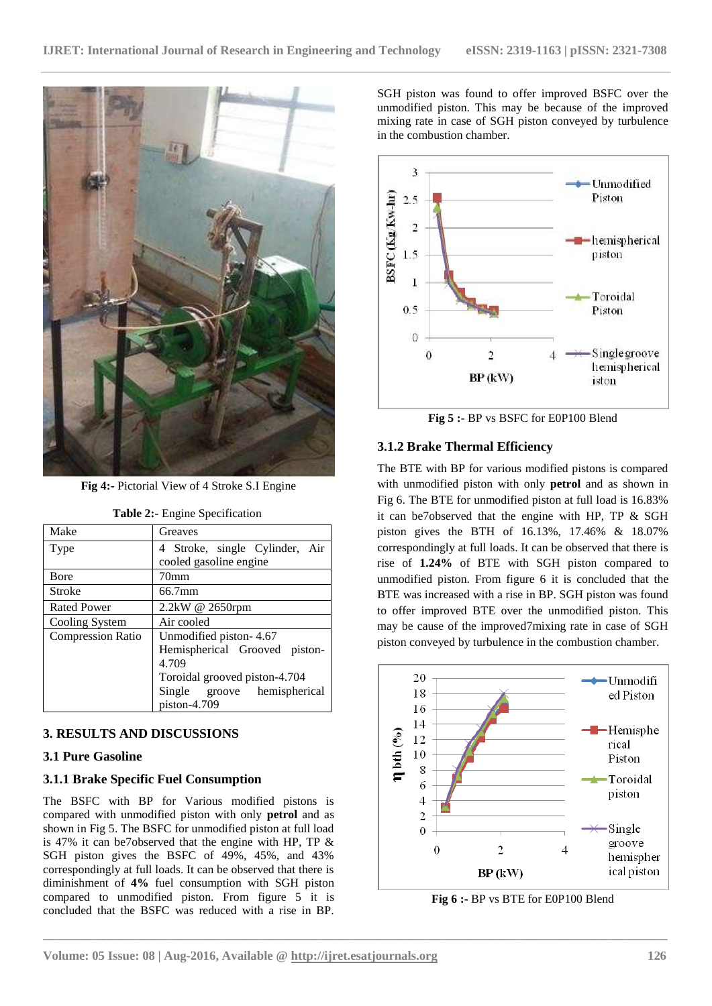

**Fig 4:-** Pictorial View of 4 Stroke S.I Engine

| Make                     | Greaves                        |  |  |
|--------------------------|--------------------------------|--|--|
| Type                     | 4 Stroke, single Cylinder, Air |  |  |
|                          | cooled gasoline engine         |  |  |
| <b>B</b> ore             | 70 <sub>mm</sub>               |  |  |
| <b>Stroke</b>            | 66.7mm                         |  |  |
| <b>Rated Power</b>       | 2.2kW @ 2650rpm                |  |  |
| Cooling System           | Air cooled                     |  |  |
| <b>Compression Ratio</b> | Unmodified piston-4.67         |  |  |
|                          | Hemispherical Grooved piston-  |  |  |
|                          | 4.709                          |  |  |
|                          | Toroidal grooved piston-4.704  |  |  |
|                          | Single groove hemispherical    |  |  |
|                          | piston-4.709                   |  |  |

**Table 2:-** Engine Specification

# **3. RESULTS AND DISCUSSIONS**

# **3.1 Pure Gasoline**

# **3.1.1 Brake Specific Fuel Consumption**

The BSFC with BP for Various modified pistons is compared with unmodified piston with only **petrol** and as shown in Fig 5. The BSFC for unmodified piston at full load is 47% it can be7observed that the engine with HP, TP & SGH piston gives the BSFC of 49%, 45%, and 43% correspondingly at full loads. It can be observed that there is diminishment of **4%** fuel consumption with SGH piston compared to unmodified piston. From figure 5 it is concluded that the BSFC was reduced with a rise in BP.

SGH piston was found to offer improved BSFC over the unmodified piston. This may be because of the improved mixing rate in case of SGH piston conveyed by turbulence in the combustion chamber.



**Fig 5 :-** BP vs BSFC for E0P100 Blend

# **3.1.2 Brake Thermal Efficiency**

The BTE with BP for various modified pistons is compared with unmodified piston with only **petrol** and as shown in Fig 6. The BTE for unmodified piston at full load is 16.83% it can be7observed that the engine with HP, TP & SGH piston gives the BTH of 16.13%, 17.46% & 18.07% correspondingly at full loads. It can be observed that there is rise of **1.24%** of BTE with SGH piston compared to unmodified piston. From figure 6 it is concluded that the BTE was increased with a rise in BP. SGH piston was found to offer improved BTE over the unmodified piston. This may be cause of the improved7mixing rate in case of SGH piston conveyed by turbulence in the combustion chamber.



**Fig 6 :-** BP vs BTE for E0P100 Blend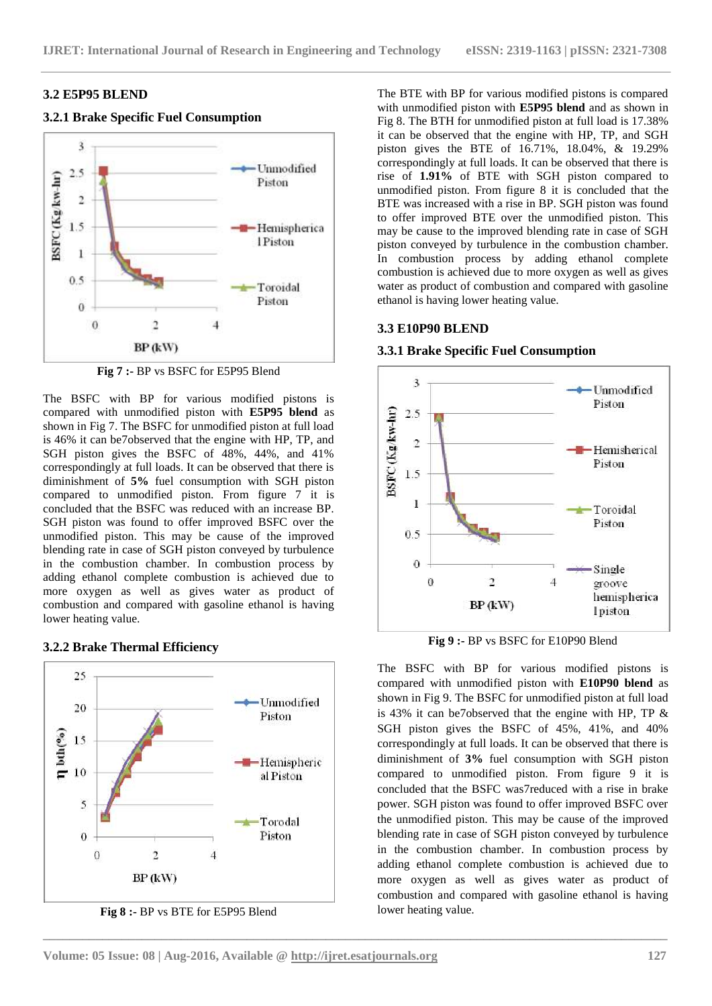#### **3.2 E5P95 BLEND**

#### **3.2.1 Brake Specific Fuel Consumption**



**Fig 7 :-** BP vs BSFC for E5P95 Blend

The BSFC with BP for various modified pistons is compared with unmodified piston with **E5P95 blend** as shown in Fig 7. The BSFC for unmodified piston at full load is 46% it can be7observed that the engine with HP, TP, and SGH piston gives the BSFC of 48%, 44%, and 41% correspondingly at full loads. It can be observed that there is diminishment of **5%** fuel consumption with SGH piston compared to unmodified piston. From figure 7 it is concluded that the BSFC was reduced with an increase BP. SGH piston was found to offer improved BSFC over the unmodified piston. This may be cause of the improved blending rate in case of SGH piston conveyed by turbulence in the combustion chamber. In combustion process by adding ethanol complete combustion is achieved due to more oxygen as well as gives water as product of combustion and compared with gasoline ethanol is having lower heating value.



**3.2.2 Brake Thermal Efficiency**

**Fig 8 :-** BP vs BTE for E5P95 Blend

The BTE with BP for various modified pistons is compared with unmodified piston with **E5P95 blend** and as shown in Fig 8. The BTH for unmodified piston at full load is 17.38% it can be observed that the engine with HP, TP, and SGH piston gives the BTE of 16.71%, 18.04%, & 19.29% correspondingly at full loads. It can be observed that there is rise of **1.91%** of BTE with SGH piston compared to unmodified piston. From figure 8 it is concluded that the BTE was increased with a rise in BP. SGH piston was found to offer improved BTE over the unmodified piston. This may be cause to the improved blending rate in case of SGH piston conveyed by turbulence in the combustion chamber. In combustion process by adding ethanol complete combustion is achieved due to more oxygen as well as gives water as product of combustion and compared with gasoline ethanol is having lower heating value.

#### **3.3 E10P90 BLEND**

#### **3.3.1 Brake Specific Fuel Consumption**



**Fig 9 :-** BP vs BSFC for E10P90 Blend

The BSFC with BP for various modified pistons is compared with unmodified piston with **E10P90 blend** as shown in Fig 9. The BSFC for unmodified piston at full load is 43% it can be7observed that the engine with HP, TP & SGH piston gives the BSFC of 45%, 41%, and 40% correspondingly at full loads. It can be observed that there is diminishment of **3%** fuel consumption with SGH piston compared to unmodified piston. From figure 9 it is concluded that the BSFC was7reduced with a rise in brake power. SGH piston was found to offer improved BSFC over the unmodified piston. This may be cause of the improved blending rate in case of SGH piston conveyed by turbulence in the combustion chamber. In combustion process by adding ethanol complete combustion is achieved due to more oxygen as well as gives water as product of combustion and compared with gasoline ethanol is having lower heating value.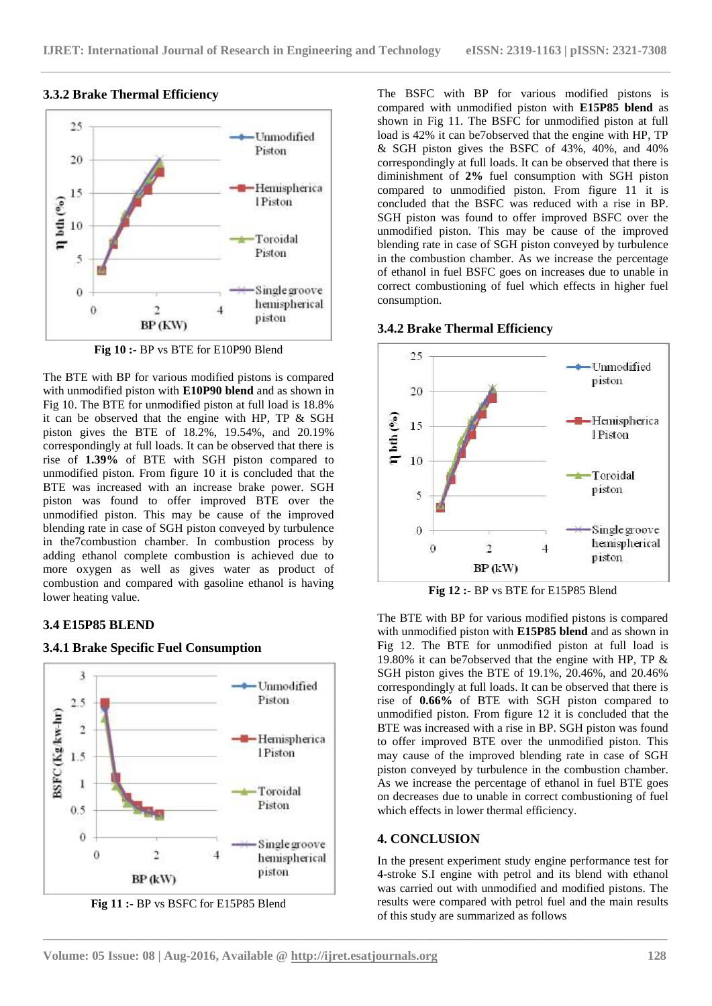

# **3.3.2 Brake Thermal Efficiency**

**Fig 10 :-** BP vs BTE for E10P90 Blend

The BTE with BP for various modified pistons is compared with unmodified piston with **E10P90 blend** and as shown in Fig 10. The BTE for unmodified piston at full load is 18.8% it can be observed that the engine with HP, TP & SGH piston gives the BTE of 18.2%, 19.54%, and 20.19% correspondingly at full loads. It can be observed that there is rise of **1.39%** of BTE with SGH piston compared to unmodified piston. From figure 10 it is concluded that the BTE was increased with an increase brake power. SGH piston was found to offer improved BTE over the unmodified piston. This may be cause of the improved blending rate in case of SGH piston conveyed by turbulence in the7combustion chamber. In combustion process by adding ethanol complete combustion is achieved due to more oxygen as well as gives water as product of combustion and compared with gasoline ethanol is having lower heating value.

# **3.4 E15P85 BLEND**



**3.4.1 Brake Specific Fuel Consumption**

**Fig 11 :-** BP vs BSFC for E15P85 Blend

The BSFC with BP for various modified pistons is compared with unmodified piston with **E15P85 blend** as shown in Fig 11. The BSFC for unmodified piston at full load is 42% it can be7observed that the engine with HP, TP & SGH piston gives the BSFC of 43%, 40%, and 40% correspondingly at full loads. It can be observed that there is diminishment of **2%** fuel consumption with SGH piston compared to unmodified piston. From figure 11 it is concluded that the BSFC was reduced with a rise in BP. SGH piston was found to offer improved BSFC over the unmodified piston. This may be cause of the improved blending rate in case of SGH piston conveyed by turbulence in the combustion chamber. As we increase the percentage of ethanol in fuel BSFC goes on increases due to unable in correct combustioning of fuel which effects in higher fuel consumption.





**Fig 12 :-** BP vs BTE for E15P85 Blend

The BTE with BP for various modified pistons is compared with unmodified piston with **E15P85 blend** and as shown in Fig 12. The BTE for unmodified piston at full load is 19.80% it can be7observed that the engine with HP, TP & SGH piston gives the BTE of 19.1%, 20.46%, and 20.46% correspondingly at full loads. It can be observed that there is rise of **0.66%** of BTE with SGH piston compared to unmodified piston. From figure 12 it is concluded that the BTE was increased with a rise in BP. SGH piston was found to offer improved BTE over the unmodified piston. This may cause of the improved blending rate in case of SGH piston conveyed by turbulence in the combustion chamber. As we increase the percentage of ethanol in fuel BTE goes on decreases due to unable in correct combustioning of fuel which effects in lower thermal efficiency.

## **4. CONCLUSION**

**\_\_\_\_\_\_\_\_\_\_\_\_\_\_\_\_\_\_\_\_\_\_\_\_\_\_\_\_\_\_\_\_\_\_\_\_\_\_\_\_\_\_\_\_\_\_\_\_\_\_\_\_\_\_\_\_\_\_\_\_\_\_\_\_\_\_\_\_\_\_\_\_\_\_\_\_\_\_\_\_\_\_\_\_\_\_\_\_\_\_\_\_\_\_\_**

In the present experiment study engine performance test for 4-stroke S.I engine with petrol and its blend with ethanol was carried out with unmodified and modified pistons. The results were compared with petrol fuel and the main results of this study are summarized as follows